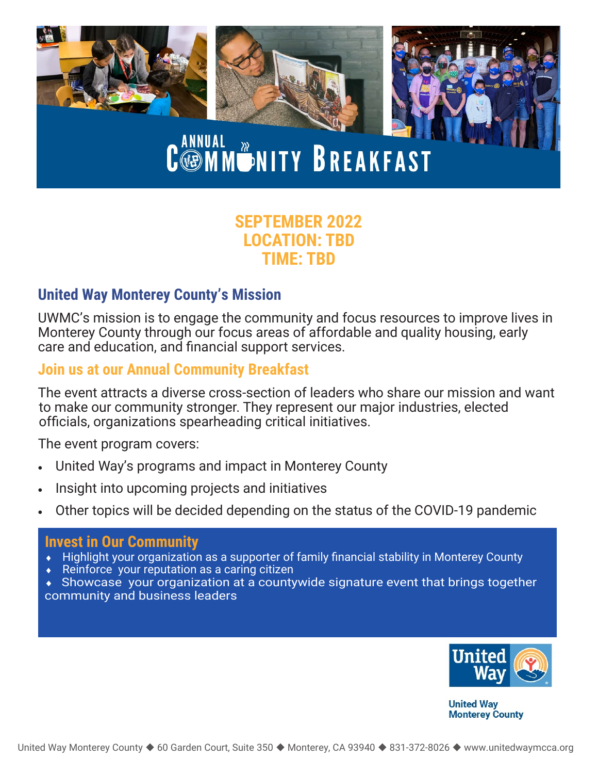

# C ANNUAL WANITY BREAKFAST

### **SEPTEMBER 2022 LOCATION: TBD TIME: TBD**

#### **United Way Monterey County's Mission**

UWMC's mission is to engage the community and focus resources to improve lives in Monterey County through our focus areas of affordable and quality housing, early care and education, and financial support services.

#### **Join us at our Annual Community Breakfast**

The event attracts a diverse cross-section of leaders who share our mission and want to make our community stronger. They represent our major industries, elected officials, organizations spearheading critical initiatives.

The event program covers:

- United Way's programs and impact in Monterey County
- Insight into upcoming projects and initiatives
- Other topics will be decided depending on the status of the COVID-19 pandemic

#### **Invest in Our Community**

- Highlight your organization as a supporter of family financial stability in Monterey County
- Reinforce your reputation as a caring citizen
- Showcase your organization at a countywide signature event that brings together community and business leaders



**United Way Monterey County**